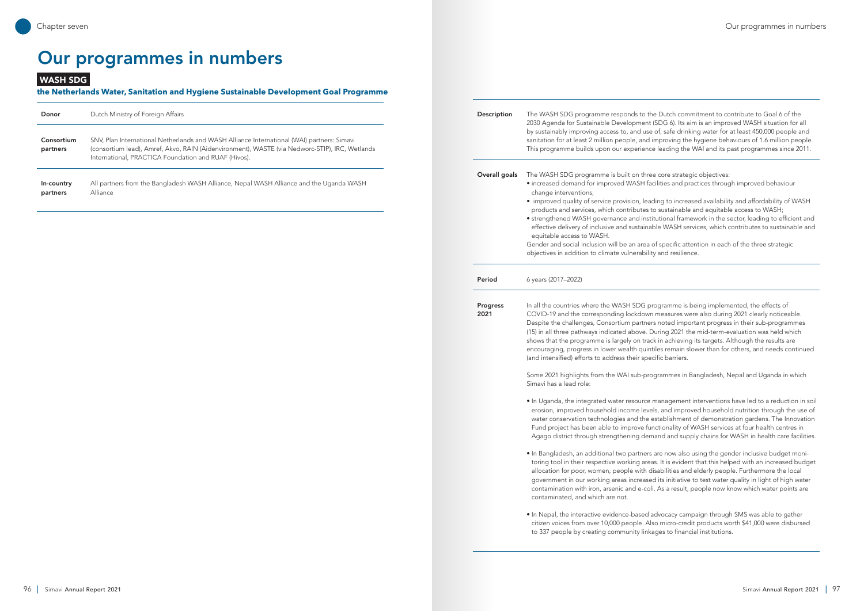| Donor                  | Dutch Ministry of Foreign Affairs                                                                                                                                                                                                                    |
|------------------------|------------------------------------------------------------------------------------------------------------------------------------------------------------------------------------------------------------------------------------------------------|
| Consortium<br>partners | SNV, Plan International Netherlands and WASH Alliance International (WAI) partners: Simavi<br>(consortium lead), Amref, Akvo, RAIN (Aidenvironment), WASTE (via Nedworc-STIP), IRC, Wetlands<br>International, PRACTICA Foundation and RUAF (Hivos). |
| In-country<br>partners | All partners from the Bangladesh WASH Alliance, Nepal WASH Alliance and the Uganda WASH<br>Alliance                                                                                                                                                  |

WASH SDG

#### **the Netherlands Water, Sanitation and Hygiene Sustainable Development Goal Programme**

Description The WASH SDG programme responds to the Dutch commitment to contribute to Goal 6 of the 2030 Agenda for Sustainable Development (SDG 6). Its aim is an improved WASH situation for all by sustainably improving access to, and use of, safe drinking water for at least 450,000 people and sanitation for at least 2 million people, and improving the hygiene behaviours of 1.6 million people. This programme builds upon our experience leading the WAI and its past programmes since 2011. **Overall goals** The WASH SDG programme is built on three core strategic objectives: • increased demand for improved WASH facilities and practices through improved behaviour change interventions; • improved quality of service provision, leading to increased availability and affordability of WASH products and services, which contributes to sustainable and equitable access to WASH; • strengthened WASH governance and institutional framework in the sector, leading to efficient and effective delivery of inclusive and sustainable WASH services, which contributes to sustainable and equitable access to WASH. Gender and social inclusion will be an area of specific attention in each of the three strategic objectives in addition to climate vulnerability and resilience. **Period** 6 years (2017–2022) Progress 2021 In all the countries where the WASH SDG programme is being implemented, the effects of COVID-19 and the corresponding lockdown measures were also during 2021 clearly noticeable. Despite the challenges, Consortium partners noted important progress in their sub-programmes (15) in all three pathways indicated above. During 2021 the mid-term-evaluation was held which shows that the programme is largely on track in achieving its targets. Although the results are encouraging, progress in lower wealth quintiles remain slower than for others, and needs continued (and intensified) efforts to address their specific barriers. Some 2021 highlights from the WAI sub-programmes in Bangladesh, Nepal and Uganda in which Simavi has a lead role: • In Uganda, the integrated water resource management interventions have led to a reduction in soil erosion, improved household income levels, and improved household nutrition through the use of water conservation technologies and the establishment of demonstration gardens. The Innovation Fund project has been able to improve functionality of WASH services at four health centres in Agago district through strengthening demand and supply chains for WASH in health care facilities. • In Bangladesh, an additional two partners are now also using the gender inclusive budget monitoring tool in their respective working areas. It is evident that this helped with an increased budget allocation for poor, women, people with disabilities and elderly people. Furthermore the local government in our working areas increased its initiative to test water quality in light of high water contamination with iron, arsenic and e-coli. As a result, people now know which water points are contaminated, and which are not. • In Nepal, the interactive evidence-based advocacy campaign through SMS was able to gather

citizen voices from over 10,000 people. Also micro-credit products worth \$41,000 were disbursed to 337 people by creating community linkages to financial institutions.

# Our programmes in numbers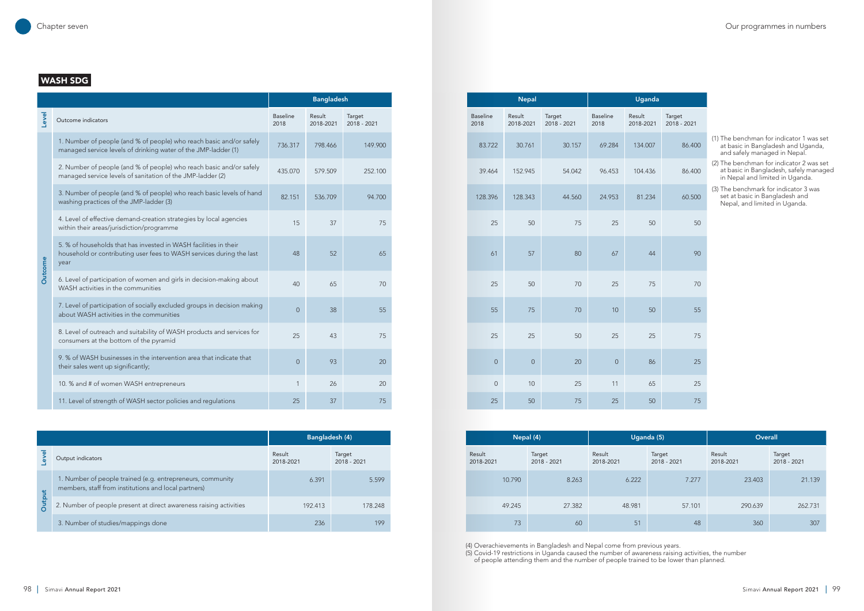|                                                                                                                                                  |                         | <b>Bangladesh</b>   |                       |
|--------------------------------------------------------------------------------------------------------------------------------------------------|-------------------------|---------------------|-----------------------|
| Outcome indicators                                                                                                                               | <b>Baseline</b><br>2018 | Result<br>2018-2021 | Target<br>2018 - 2021 |
| 1. Number of people (and % of people) who reach basic and/or safely<br>managed service levels of drinking water of the JMP-ladder (1)            | 736.317                 | 798.466             | 149.900               |
| 2. Number of people (and % of people) who reach basic and/or safely<br>managed service levels of sanitation of the JMP-ladder (2)                | 435.070                 | 579.509             | 252.100               |
| 3. Number of people (and % of people) who reach basic levels of hand<br>washing practices of the JMP-ladder (3)                                  | 82.151                  | 536.709             | 94.700                |
| 4. Level of effective demand-creation strategies by local agencies<br>within their areas/jurisdiction/programme                                  | 15                      | 37                  | 75                    |
| 5. % of households that has invested in WASH facilities in their<br>household or contributing user fees to WASH services during the last<br>year | 48                      | 52                  | 65                    |
| 6. Level of participation of women and girls in decision-making about<br>WASH activities in the communities                                      | 40                      | 65                  | 70                    |
| 7. Level of participation of socially excluded groups in decision making<br>about WASH activities in the communities                             | $\mathbf 0$             | 38                  | 55                    |
| 8. Level of outreach and suitability of WASH products and services for<br>consumers at the bottom of the pyramid                                 | 25                      | 43                  | 75                    |
| 9. % of WASH businesses in the intervention area that indicate that<br>their sales went up significantly;                                        | $\overline{0}$          | 93                  | 20                    |
| 10. % and # of women WASH entrepreneurs                                                                                                          |                         | 26                  | 20                    |
| 11. Level of strength of WASH sector policies and regulations                                                                                    | 25                      | 37                  | 75                    |

|              | <b>Bangladesh</b>     |                       |
|--------------|-----------------------|-----------------------|
|              | Result<br>2018-2021   | Target<br>2018 - 2021 |
| 17           | 798.466               | 149.900               |
| 70           | 579.509               | 252.100               |
| 51           | 536.709               | 94.700                |
| 15           | 37                    | 75                    |
| 48           | 52                    | 65                    |
| 40           | 65                    | $70\,$                |
| $\mathbf 0$  | 38                    | 55                    |
| 25           | 43                    | 75                    |
| $\mathbf 0$  | 93                    | $20\,$                |
| $\mathbf{1}$ | 26                    | 20                    |
| 25           | 37                    | 75                    |
|              |                       |                       |
|              | <b>Bangladesh (4)</b> |                       |
| 21           |                       | Target<br>2018 - 2021 |
|              |                       |                       |

# WASH SDG

#### Chapter seven Our programmes in numbers

|                                                                                                                    | Bangladesh (4)      |                       |
|--------------------------------------------------------------------------------------------------------------------|---------------------|-----------------------|
| Output indicators                                                                                                  | Result<br>2018-2021 | Target<br>2018 - 2021 |
| 1. Number of people trained (e.g. entrepreneurs, community<br>members, staff from institutions and local partners) | 6.391               | 5.599                 |
| 2. Number of people present at direct awareness raising activities                                                 | 192.413             | 178.248               |
| 3. Number of studies/mappings done                                                                                 | 236                 | 199                   |

| Bangladesh (4)        |                     | Nepal (4)<br>Uganda (5) |                       | Overall             |                       |                     |                       |
|-----------------------|---------------------|-------------------------|-----------------------|---------------------|-----------------------|---------------------|-----------------------|
| Target<br>2018 - 2021 | Result<br>2018-2021 |                         | Target<br>2018 - 2021 | Result<br>2018-2021 | Target<br>2018 - 2021 | Result<br>2018-2021 | Target<br>2018 - 2021 |
| 5.599                 |                     | 10.790                  | 8.263                 | 6.222               | 7.277                 | 23.403              |                       |
| 178.248               |                     | 49.245                  | 27.382                | 48.981              | 57.101                | 290.639             |                       |
|                       |                     | 73                      | 60                    | 51                  | 48                    | 360                 |                       |

(4) Overachievements in Bangladesh and Nepal come from previous years. (5) Covid-19 restrictions in Uganda caused the number of awareness raising activities, the number of people attending them and the number of people trained to be lower than planned.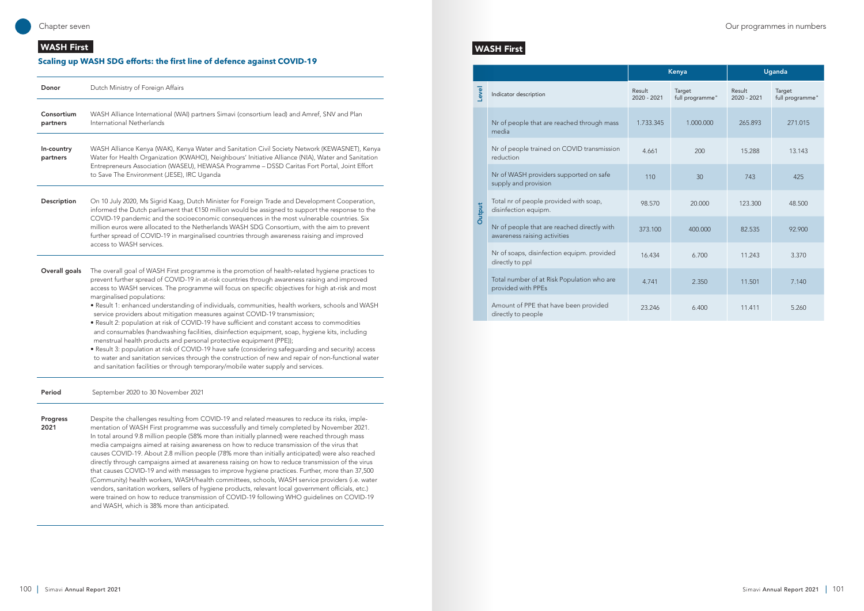|        |                                                                             |                       | Kenya                     |                       | Uganda                    |
|--------|-----------------------------------------------------------------------------|-----------------------|---------------------------|-----------------------|---------------------------|
| Level  | Indicator description                                                       | Result<br>2020 - 2021 | Target<br>full programme" | Result<br>2020 - 2021 | Target<br>full programme" |
| Output | Nr of people that are reached through mass<br>media                         | 1.733.345             | 1.000.000                 | 265.893               | 271.015                   |
|        | Nr of people trained on COVID transmission<br>reduction                     | 4.661                 | 200                       | 15.288                | 13.143                    |
|        | Nr of WASH providers supported on safe<br>supply and provision              | 110                   | 30                        | 743                   | 425                       |
|        | Total nr of people provided with soap,<br>disinfection equipm.              | 98.570                | 20,000                    | 123,300               | 48.500                    |
|        | Nr of people that are reached directly with<br>awareness raising activities | 373.100               | 400,000                   | 82.535                | 92.900                    |
|        | Nr of soaps, disinfection equipm. provided<br>directly to ppl               | 16.434                | 6.700                     | 11.243                | 3.370                     |
|        | Total number of at Risk Population who are<br>provided with PPEs            | 4.741                 | 2.350                     | 11.501                | 7.140                     |
|        | Amount of PPE that have been provided<br>directly to people                 | 23.246                | 6.400                     | 11.411                | 5.260                     |

# WASH First

| Donor                  | Dutch Ministry of Foreign Affairs                                                                                                                                                                                                                                                                                                                                                                                                                                                                                                                                                                                                                                                                                                                                                                                                                                                                                                                                                                                                                                                                   |
|------------------------|-----------------------------------------------------------------------------------------------------------------------------------------------------------------------------------------------------------------------------------------------------------------------------------------------------------------------------------------------------------------------------------------------------------------------------------------------------------------------------------------------------------------------------------------------------------------------------------------------------------------------------------------------------------------------------------------------------------------------------------------------------------------------------------------------------------------------------------------------------------------------------------------------------------------------------------------------------------------------------------------------------------------------------------------------------------------------------------------------------|
| Consortium<br>partners | WASH Alliance International (WAI) partners Simavi (consortium lead) and Amref, SNV and Plan<br>International Netherlands                                                                                                                                                                                                                                                                                                                                                                                                                                                                                                                                                                                                                                                                                                                                                                                                                                                                                                                                                                            |
| In-country<br>partners | WASH Alliance Kenya (WAK), Kenya Water and Sanitation Civil Society Network (KEWASNET), Kenya<br>Water for Health Organization (KWAHO), Neighbours' Initiative Alliance (NIA), Water and Sanitation<br>Entrepreneurs Association (WASEU), HEWASA Programme - DSSD Caritas Fort Portal, Joint Effort<br>to Save The Environment (JESE), IRC Uganda                                                                                                                                                                                                                                                                                                                                                                                                                                                                                                                                                                                                                                                                                                                                                   |
| Description            | On 10 July 2020, Ms Sigrid Kaag, Dutch Minister for Foreign Trade and Development Cooperation,<br>informed the Dutch parliament that €150 million would be assigned to support the response to the<br>COVID-19 pandemic and the socioeconomic consequences in the most vulnerable countries. Six<br>million euros were allocated to the Netherlands WASH SDG Consortium, with the aim to prevent<br>further spread of COVID-19 in marginalised countries through awareness raising and improved<br>access to WASH services.                                                                                                                                                                                                                                                                                                                                                                                                                                                                                                                                                                         |
| Overall goals          | The overall goal of WASH First programme is the promotion of health-related hygiene practices to<br>prevent further spread of COVID-19 in at-risk countries through awareness raising and improved<br>access to WASH services. The programme will focus on specific objectives for high at-risk and most<br>marginalised populations:<br>· Result 1: enhanced understanding of individuals, communities, health workers, schools and WASH<br>service providers about mitigation measures against COVID-19 transmission;<br>. Result 2: population at risk of COVID-19 have sufficient and constant access to commodities<br>and consumables (handwashing facilities, disinfection equipment, soap, hygiene kits, including<br>menstrual health products and personal protective equipment (PPE));<br>• Result 3: population at risk of COVID-19 have safe (considering safeguarding and security) access<br>to water and sanitation services through the construction of new and repair of non-functional water<br>and sanitation facilities or through temporary/mobile water supply and services. |
| Period                 | September 2020 to 30 November 2021                                                                                                                                                                                                                                                                                                                                                                                                                                                                                                                                                                                                                                                                                                                                                                                                                                                                                                                                                                                                                                                                  |
| Progress<br>2021       | Despite the challenges resulting from COVID-19 and related measures to reduce its risks, imple-<br>mentation of WASH First programme was successfully and timely completed by November 2021.<br>In total around 9.8 million people (58% more than initially planned) were reached through mass<br>media campaigns aimed at raising awareness on how to reduce transmission of the virus that<br>causes COVID-19. About 2.8 million people (78% more than initially anticipated) were also reached<br>directly through campaigns aimed at awareness raising on how to reduce transmission of the virus<br>that causes COVID-19 and with messages to improve hygiene practices. Further, more than 37,500<br>(Community) health workers, WASH/health committees, schools, WASH service providers (i.e. water<br>vendors, sanitation workers, sellers of hygiene products, relevant local government officials, etc.)<br>were trained on how to reduce transmission of COVID-19 following WHO guidelines on COVID-19<br>and WASH, which is 38% more than anticipated.                                  |

# WASH First

## **Scaling up WASH SDG efforts: the first line of defence against COVID-19**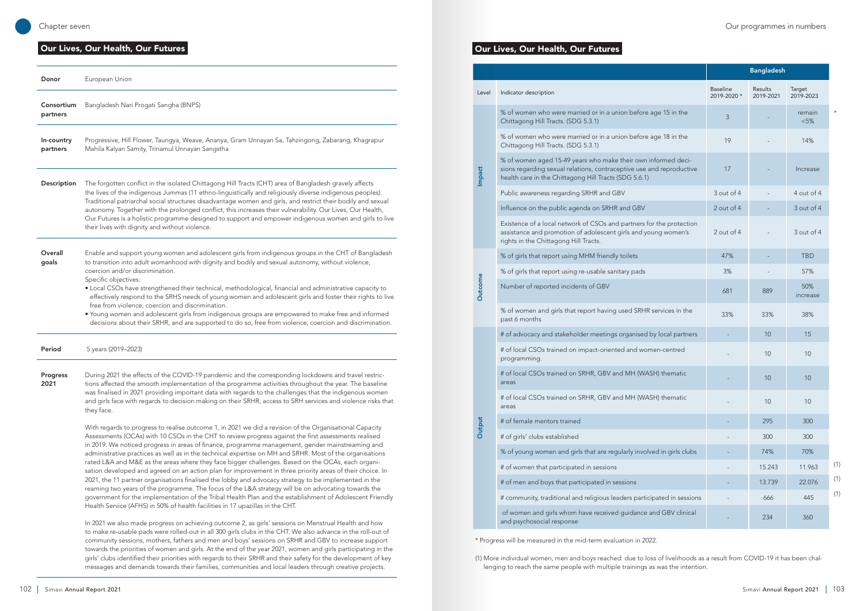# Our Lives, Our Health, Our Futures Level Indicator description % of women who were married or in a union before a Chittagong Hill Tracts. (SDG 5.3.1) % of women aged 15-49 years who make their own in Impact sions regarding sexual relations, contraceptive use a health care in the Chittagong Hill Tracts (SDG 5.6.1) Public awareness regarding SRHR and GBV Influence on the public agenda on SRHR and GBV Existence of a local network of CSOs and partners for assistance and promotion of adolescent girls and you rights in the Chittagong Hill Tracts. % of girls that report using MHM friendly toilets % of girls that report using re-usable sanitary pads **Outcome** Outcon Number of reported incidents of GBV # of advocacy and stakeholder meetings organised b # of local CSOs trained on impact-oriented and wom # of local CSOs trained on SRHR, GBV and MH (WAS # of local CSOs trained on SRHR, GBV and MH (WAS **Output** # of female mentors trained # of girls' clubs established % of young women and girls that are regularly involv # of women that participated in sessions # of men and boys that participated in sessions # community, traditional and religious leaders particip of women and girls whom have received guidance a and psychosocial response

|                                                                                                                                                                                                |                                | <b>Bangladesh</b>           |                     |         |
|------------------------------------------------------------------------------------------------------------------------------------------------------------------------------------------------|--------------------------------|-----------------------------|---------------------|---------|
| Indicator description                                                                                                                                                                          | <b>Baseline</b><br>2019-2020 * | <b>Results</b><br>2019-2021 | Target<br>2019-2023 |         |
| % of women who were married or in a union before age 15 in the<br>Chittagong Hill Tracts. (SDG 5.3.1)                                                                                          | 3                              |                             | remain<br>< 5%      | $\star$ |
| % of women who were married or in a union before age 18 in the<br>Chittagong Hill Tracts. (SDG 5.3.1)                                                                                          | 19                             |                             | 14%                 |         |
| % of women aged 15-49 years who make their own informed deci-<br>sions regarding sexual relations, contraceptive use and reproductive<br>health care in the Chittagong Hill Tracts (SDG 5.6.1) | 17                             |                             | Increase            |         |
| Public awareness regarding SRHR and GBV                                                                                                                                                        | 3 out of 4                     |                             | 4 out of 4          |         |
| Influence on the public agenda on SRHR and GBV                                                                                                                                                 | 2 out of 4                     |                             | 3 out of 4          |         |
| Existence of a local network of CSOs and partners for the protection<br>assistance and promotion of adolescent girls and young women's<br>rights in the Chittagong Hill Tracts.                | 2 out of 4                     |                             | 3 out of 4          |         |
| % of girls that report using MHM friendly toilets                                                                                                                                              | 47%                            |                             | <b>TBD</b>          |         |
| % of girls that report using re-usable sanitary pads                                                                                                                                           | 3%                             |                             | 57%                 |         |
| Number of reported incidents of GBV                                                                                                                                                            | 681                            | 889                         | 50%<br>increase     |         |
| % of women and girls that report having used SRHR services in the<br>past 6 months                                                                                                             | 33%                            | 33%                         | 38%                 |         |
| # of advocacy and stakeholder meetings organised by local partners                                                                                                                             |                                | 10                          | 15                  |         |
| # of local CSOs trained on impact-oriented and women-centred<br>programming.                                                                                                                   |                                | 10                          | 10                  |         |
| # of local CSOs trained on SRHR, GBV and MH (WASH) thematic<br>areas                                                                                                                           |                                | 10                          | 10                  |         |
| # of local CSOs trained on SRHR, GBV and MH (WASH) thematic<br>areas                                                                                                                           |                                | 10                          | 10                  |         |
| # of female mentors trained                                                                                                                                                                    |                                | 295                         | 300                 |         |
| # of girls' clubs established                                                                                                                                                                  |                                | 300                         | 300                 |         |
| % of young women and girls that are regularly involved in girls clubs                                                                                                                          |                                | 74%                         | 70%                 |         |
| # of women that participated in sessions                                                                                                                                                       |                                | 15.243                      | 11.963              | (1)     |
| # of men and boys that participated in sessions                                                                                                                                                |                                | 13.739                      | 22.076              | (1)     |
| # community, traditional and religious leaders participated in sessions                                                                                                                        |                                | 666                         | 445                 | (1)     |
| of women and girls whom have received guidance and GBV clinical<br>and psychosocial response                                                                                                   |                                | 234                         | 360                 |         |

| Donor                  | European Union                                                                                                                                                                                                                                                                                                                                                                                                                                                                                                                                                                                                                                                                                                                                                                                                                                                                                                                                                                                                                                                 |
|------------------------|----------------------------------------------------------------------------------------------------------------------------------------------------------------------------------------------------------------------------------------------------------------------------------------------------------------------------------------------------------------------------------------------------------------------------------------------------------------------------------------------------------------------------------------------------------------------------------------------------------------------------------------------------------------------------------------------------------------------------------------------------------------------------------------------------------------------------------------------------------------------------------------------------------------------------------------------------------------------------------------------------------------------------------------------------------------|
| Consortium<br>partners | Bangladesh Nari Progati Sangha (BNPS)                                                                                                                                                                                                                                                                                                                                                                                                                                                                                                                                                                                                                                                                                                                                                                                                                                                                                                                                                                                                                          |
| In-country<br>partners | Progressive, Hill Flower, Taungya, Weave, Ananya, Gram Unnayan Sa, Tahzingong, Zabarang, Khagrapur<br>Mahila Kalyan Samity, Trinamul Unnayan Sangstha                                                                                                                                                                                                                                                                                                                                                                                                                                                                                                                                                                                                                                                                                                                                                                                                                                                                                                          |
| Description            | The forgotten conflict in the isolated Chittagong Hill Tracts (CHT) area of Bangladesh gravely affects<br>the lives of the indigenous Jummas (11 ethno-linguistically and religiously diverse indigenous peoples).<br>Traditional patriarchal social structures disadvantage women and girls, and restrict their bodily and sexual<br>autonomy. Together with the prolonged conflict, this increases their vulnerability. Our Lives, Our Health,<br>Our Futures is a holistic programme designed to support and empower indigenous women and girls to live<br>their lives with dignity and without violence.                                                                                                                                                                                                                                                                                                                                                                                                                                                   |
| Overall<br>goals       | Enable and support young women and adolescent girls from indigenous groups in the CHT of Bangladesh<br>to transition into adult womanhood with dignity and bodily and sexual autonomy, without violence,<br>coercion and/or discrimination.<br>Specific objectives:<br>• Local CSOs have strengthened their technical, methodological, financial and administrative capacity to<br>effectively respond to the SRHS needs of young women and adolescent girls and foster their rights to live<br>free from violence, coercion and discrimination.<br>• Young women and adolescent girls from indigenous groups are empowered to make free and informed<br>decisions about their SRHR, and are supported to do so, free from violence, coercion and discrimination.                                                                                                                                                                                                                                                                                              |
| Period                 | 5 years (2019-2023)                                                                                                                                                                                                                                                                                                                                                                                                                                                                                                                                                                                                                                                                                                                                                                                                                                                                                                                                                                                                                                            |
| Progress<br>2021       | During 2021 the effects of the COVID-19 pandemic and the corresponding lockdowns and travel restric-<br>tions affected the smooth implementation of the programme activities throughout the year. The baseline<br>was finalised in 2021 providing important data with regards to the challenges that the indigenous women<br>and girls face with regards to decision making on their SRHR, access to SRH services and violence risks that<br>they face.                                                                                                                                                                                                                                                                                                                                                                                                                                                                                                                                                                                                        |
|                        | With regards to progress to realise outcome 1, in 2021 we did a revision of the Organisational Capacity<br>Assessments (OCAs) with 10 CSOs in the CHT to review progress against the first assessments realised<br>in 2019. We noticed progress in areas of finance, programme management, gender mainstreaming and<br>administrative practices as well as in the technical expertise on MH and SRHR. Most of the organisations<br>rated L&A and M&E as the areas where they face bigger challenges. Based on the OCAs, each organi-<br>sation developed and agreed on an action plan for improvement in three priority areas of their choice. In<br>2021, the 11 partner organisations finalised the lobby and advocacy strategy to be implemented in the<br>reaming two years of the programme. The focus of the L&A strategy will be on advocating towards the<br>government for the implementation of the Tribal Health Plan and the establishment of Adolescent Friendly<br>Health Service (AFHS) in 50% of health facilities in 17 upazillas in the CHT. |
|                        | In 2021 we also made progress on achieving outcome 2, as girls' sessions on Menstrual Health and how<br>to make re-usable pads were rolled-out in all 300 girls clubs in the CHT. We also advance in the roll-out of<br>community sessions, mothers, fathers and men and boys' sessions on SRHR and GBV to increase support                                                                                                                                                                                                                                                                                                                                                                                                                                                                                                                                                                                                                                                                                                                                    |

towards the priorities of women and girls. At the end of the year 2021, women and girls participating in the girls' clubs identified their priorities with regards to their SRHR and their safety for the development of key messages and demands towards their families, communities and local leaders through creative projects.

#### Our Lives, Our Health, Our Futures

\* Progress will be measured in the mid-term evaluation in 2022.

(1) More individual women, men and boys reached: due to loss of livelihoods as a result from COVID-19 it has been challenging to reach the same people with multiple trainings as was the intention.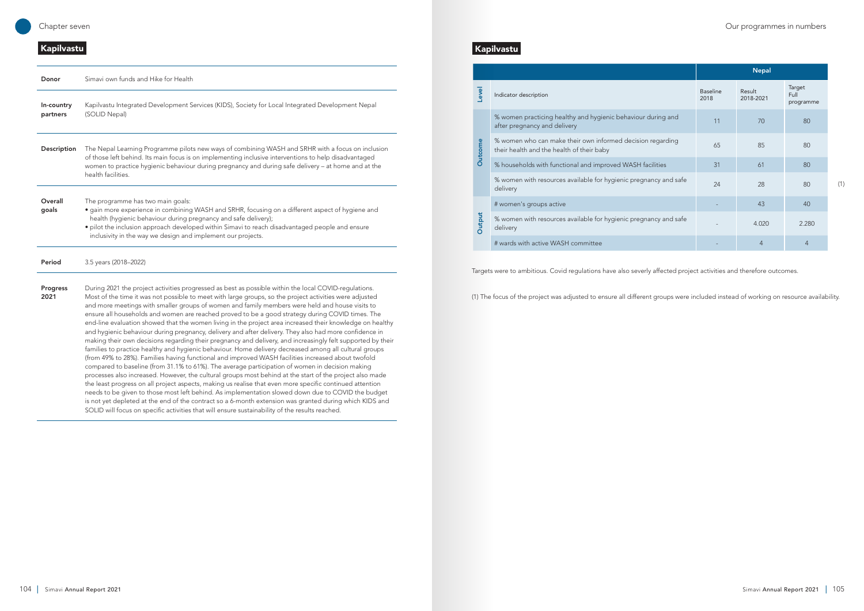# Kapilvastu

|         |                                                                                                         |                         | <b>Nepal</b>        |                             |
|---------|---------------------------------------------------------------------------------------------------------|-------------------------|---------------------|-----------------------------|
| Level   | Indicator description                                                                                   | <b>Baseline</b><br>2018 | Result<br>2018-2021 | Target<br>Full<br>programme |
| Outcome | % women practicing healthy and hygienic behaviour during and<br>after pregnancy and delivery            | 11                      | 70                  | 80                          |
|         | % women who can make their own informed decision regarding<br>their health and the health of their baby | 65                      | 85                  | 80                          |
|         | % households with functional and improved WASH facilities                                               | 31                      | 61                  | 80                          |
|         | % women with resources available for hygienic pregnancy and safe<br>delivery                            | 24                      | 28                  | 80                          |
|         | # women's groups active                                                                                 |                         | 43                  | 40                          |
| Output  | % women with resources available for hygienic pregnancy and safe<br>delivery                            |                         | 4.020               | 2.280                       |
|         | # wards with active WASH committee                                                                      |                         | 4                   | $\overline{4}$              |

| Donor                  | Simavi own funds and Hike for Health                                                                                                                                                                                                                                                                                                                                                                                                                                                                                                                                                                                                                                                                                                                                                                                                                                                                                                                                                                                                                                                                                                                                                                                                                                                                                                                                                                                                                                                                                                                                                                                         |
|------------------------|------------------------------------------------------------------------------------------------------------------------------------------------------------------------------------------------------------------------------------------------------------------------------------------------------------------------------------------------------------------------------------------------------------------------------------------------------------------------------------------------------------------------------------------------------------------------------------------------------------------------------------------------------------------------------------------------------------------------------------------------------------------------------------------------------------------------------------------------------------------------------------------------------------------------------------------------------------------------------------------------------------------------------------------------------------------------------------------------------------------------------------------------------------------------------------------------------------------------------------------------------------------------------------------------------------------------------------------------------------------------------------------------------------------------------------------------------------------------------------------------------------------------------------------------------------------------------------------------------------------------------|
| In-country<br>partners | Kapilvastu Integrated Development Services (KIDS), Society for Local Integrated Development Nepal<br>(SOLID Nepal)                                                                                                                                                                                                                                                                                                                                                                                                                                                                                                                                                                                                                                                                                                                                                                                                                                                                                                                                                                                                                                                                                                                                                                                                                                                                                                                                                                                                                                                                                                           |
| Description            | The Nepal Learning Programme pilots new ways of combining WASH and SRHR with a focus on inclusion<br>of those left behind. Its main focus is on implementing inclusive interventions to help disadvantaged<br>women to practice hygienic behaviour during pregnancy and during safe delivery - at home and at the<br>health facilities.                                                                                                                                                                                                                                                                                                                                                                                                                                                                                                                                                                                                                                                                                                                                                                                                                                                                                                                                                                                                                                                                                                                                                                                                                                                                                      |
| Overall<br>goals       | The programme has two main goals:<br>· gain more experience in combining WASH and SRHR, focusing on a different aspect of hygiene and<br>health (hygienic behaviour during pregnancy and safe delivery);<br>· pilot the inclusion approach developed within Simavi to reach disadvantaged people and ensure<br>inclusivity in the way we design and implement our projects.                                                                                                                                                                                                                                                                                                                                                                                                                                                                                                                                                                                                                                                                                                                                                                                                                                                                                                                                                                                                                                                                                                                                                                                                                                                  |
| Period                 | 3.5 years (2018-2022)                                                                                                                                                                                                                                                                                                                                                                                                                                                                                                                                                                                                                                                                                                                                                                                                                                                                                                                                                                                                                                                                                                                                                                                                                                                                                                                                                                                                                                                                                                                                                                                                        |
| Progress<br>2021       | During 2021 the project activities progressed as best as possible within the local COVID-regulations.<br>Most of the time it was not possible to meet with large groups, so the project activities were adjusted<br>and more meetings with smaller groups of women and family members were held and house visits to<br>ensure all households and women are reached proved to be a good strategy during COVID times. The<br>end-line evaluation showed that the women living in the project area increased their knowledge on healthy<br>and hygienic behaviour during pregnancy, delivery and after delivery. They also had more confidence in<br>making their own decisions regarding their pregnancy and delivery, and increasingly felt supported by their<br>families to practice healthy and hygienic behaviour. Home delivery decreased among all cultural groups<br>(from 49% to 28%). Families having functional and improved WASH facilities increased about twofold<br>compared to baseline (from 31.1% to 61%). The average participation of women in decision making<br>processes also increased. However, the cultural groups most behind at the start of the project also made<br>the least progress on all project aspects, making us realise that even more specific continued attention<br>needs to be given to those most left behind. As implementation slowed down due to COVID the budget<br>is not yet depleted at the end of the contract so a 6-month extension was granted during which KIDS and<br>SOLID will focus on specific activities that will ensure sustainability of the results reached. |

# Kapilvastu

Targets were to ambitious. Covid regulations have also severly affected project activities and therefore outcomes.

(1) The focus of the project was adjusted to ensure all different groups were included instead of working on resource availability.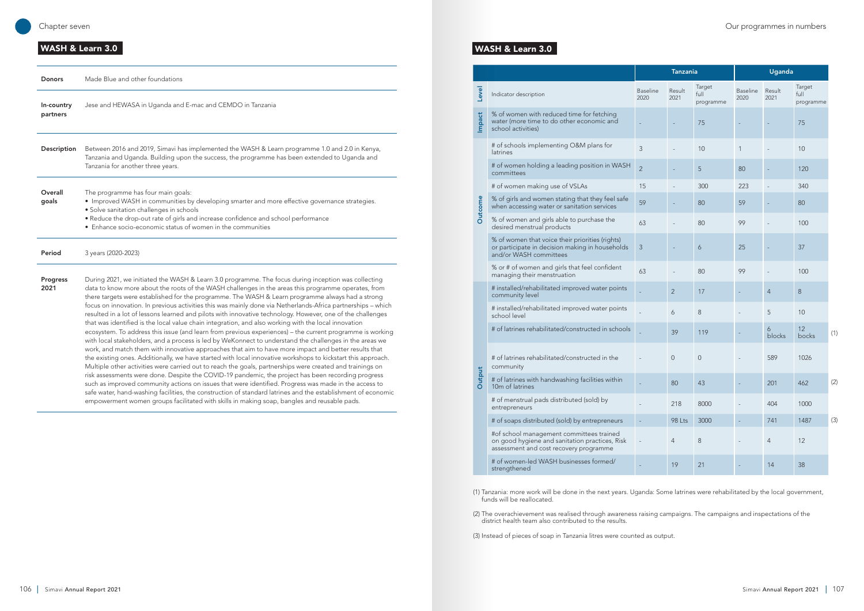# WASH & Learn 3.0

| <b>Donors</b>          | Made Blue and other foundations                                                                                                                                                                                                                                                                                                                                                                                                                                                                                                                                                                                                                                                                                                                                                                                                                                                                                                                                                                                                                                                                                                                                                                                                                                                                                                                                                                                                                                                                                                                                                                                                                 |
|------------------------|-------------------------------------------------------------------------------------------------------------------------------------------------------------------------------------------------------------------------------------------------------------------------------------------------------------------------------------------------------------------------------------------------------------------------------------------------------------------------------------------------------------------------------------------------------------------------------------------------------------------------------------------------------------------------------------------------------------------------------------------------------------------------------------------------------------------------------------------------------------------------------------------------------------------------------------------------------------------------------------------------------------------------------------------------------------------------------------------------------------------------------------------------------------------------------------------------------------------------------------------------------------------------------------------------------------------------------------------------------------------------------------------------------------------------------------------------------------------------------------------------------------------------------------------------------------------------------------------------------------------------------------------------|
| In-country<br>partners | Jese and HEWASA in Uganda and E-mac and CEMDO in Tanzania                                                                                                                                                                                                                                                                                                                                                                                                                                                                                                                                                                                                                                                                                                                                                                                                                                                                                                                                                                                                                                                                                                                                                                                                                                                                                                                                                                                                                                                                                                                                                                                       |
| Description            | Between 2016 and 2019, Simavi has implemented the WASH & Learn programme 1.0 and 2.0 in Kenya,<br>Tanzania and Uganda. Building upon the success, the programme has been extended to Uganda and<br>Tanzania for another three years.                                                                                                                                                                                                                                                                                                                                                                                                                                                                                                                                                                                                                                                                                                                                                                                                                                                                                                                                                                                                                                                                                                                                                                                                                                                                                                                                                                                                            |
| Overall<br>goals       | The programme has four main goals:<br>• Improved WASH in communities by developing smarter and more effective governance strategies.<br>· Solve sanitation challenges in schools<br>• Reduce the drop-out rate of girls and increase confidence and school performance<br>• Enhance socio-economic status of women in the communities                                                                                                                                                                                                                                                                                                                                                                                                                                                                                                                                                                                                                                                                                                                                                                                                                                                                                                                                                                                                                                                                                                                                                                                                                                                                                                           |
| Period                 | 3 years (2020-2023)                                                                                                                                                                                                                                                                                                                                                                                                                                                                                                                                                                                                                                                                                                                                                                                                                                                                                                                                                                                                                                                                                                                                                                                                                                                                                                                                                                                                                                                                                                                                                                                                                             |
| Progress<br>2021       | During 2021, we initiated the WASH & Learn 3.0 programme. The focus during inception was collecting<br>data to know more about the roots of the WASH challenges in the areas this programme operates, from<br>there targets were established for the programme. The WASH & Learn programme always had a strong<br>focus on innovation. In previous activities this was mainly done via Netherlands-Africa partnerships - which<br>resulted in a lot of lessons learned and pilots with innovative technology. However, one of the challenges<br>that was identified is the local value chain integration, and also working with the local innovation<br>ecosystem. To address this issue (and learn from previous experiences) - the current programme is working<br>with local stakeholders, and a process is led by WeKonnect to understand the challenges in the areas we<br>work, and match them with innovative approaches that aim to have more impact and better results that<br>the existing ones. Additionally, we have started with local innovative workshops to kickstart this approach.<br>Multiple other activities were carried out to reach the goals, partnerships were created and trainings on<br>risk assessments were done. Despite the COVID-19 pandemic, the project has been recording progress<br>such as improved community actions on issues that were identified. Progress was made in the access to<br>safe water, hand-washing facilities, the construction of standard latrines and the establishment of economic<br>empowerment women groups facilitated with skills in making soap, bangles and reusable pads. |

# WASH & Learn 3.0

|                |                                                                                                                                      |                         | Uganda<br><b>Tanzania</b> |                             |                         |                |                             |     |
|----------------|--------------------------------------------------------------------------------------------------------------------------------------|-------------------------|---------------------------|-----------------------------|-------------------------|----------------|-----------------------------|-----|
| Level          | Indicator description                                                                                                                | <b>Baseline</b><br>2020 | Result<br>2021            | Target<br>full<br>programme | <b>Baseline</b><br>2020 | Result<br>2021 | Target<br>full<br>programme |     |
| <b>Impact</b>  | % of women with reduced time for fetching<br>water (more time to do other economic and<br>school activities)                         | $\equiv$                |                           | 75                          | $\sim$                  |                | 75                          |     |
|                | # of schools implementing O&M plans for<br>latrines                                                                                  | 3                       |                           | 10                          | $\mathbf{1}$            |                | 10                          |     |
|                | # of women holding a leading position in WASH<br>committees                                                                          | $\overline{2}$          |                           | 5                           | 80                      |                | 120                         |     |
|                | # of women making use of VSLAs                                                                                                       | 15                      |                           | 300                         | 223                     |                | 340                         |     |
| <b>Outcome</b> | % of girls and women stating that they feel safe<br>when accessing water or sanitation services                                      | 59                      |                           | 80                          | 59                      |                | 80                          |     |
|                | % of women and girls able to purchase the<br>desired menstrual products                                                              | 63                      |                           | 80                          | 99                      |                | 100                         |     |
|                | % of women that voice their priorities (rights)<br>or participate in decision making in households<br>and/or WASH committees         | 3                       |                           | 6                           | 25                      |                | 37                          |     |
|                | % or # of women and girls that feel confident<br>managing their menstruation                                                         | 63                      |                           | 80                          | 99                      |                | 100                         |     |
|                | # installed/rehabilitated improved water points<br>community level                                                                   |                         | 2                         | 17                          |                         | $\overline{4}$ | 8                           |     |
|                | # installed/rehabilitated improved water points<br>school level                                                                      |                         | 6                         | 8                           |                         | 5              | 10                          |     |
|                | # of latrines rehabilitated/constructed in schools                                                                                   |                         | 39                        | 119                         |                         | 6<br>blocks    | 12<br>bocks                 | (1) |
|                | # of latrines rehabilitated/constructed in the<br>community                                                                          |                         | $\overline{0}$            | $\overline{0}$              |                         | 589            | 1026                        |     |
| Output         | # of latrines with handwashing facilities within<br>10 <sub>m</sub> of latrines                                                      |                         | 80                        | 43                          |                         | 201            | 462                         | (2) |
|                | # of menstrual pads distributed (sold) by<br>entrepreneurs                                                                           |                         | 218                       | 8000                        |                         | 404            | 1000                        |     |
|                | # of soaps distributed (sold) by entrepreneurs                                                                                       |                         | 98 Lts                    | 3000                        |                         | 741            | 1487                        | (3) |
|                | #of school management committees trained<br>on good hygiene and sanitation practices, Risk<br>assessment and cost recovery programme | L,                      | $\overline{4}$            | 8                           |                         | $\overline{4}$ | 12                          |     |
|                | # of women-led WASH businesses formed/<br>strengthened                                                                               |                         | 19                        | 21                          |                         | 14             | 38                          |     |

(1) Tanzania: more work will be done in the next years. Uganda: Some latrines were rehabilitated by the local government, funds will be reallocated.

(2) The overachievement was realised through awareness raising campaigns. The campaigns and inspectations of the district health team also contributed to the results.

(3) Instead of pieces of soap in Tanzania litres were counted as output.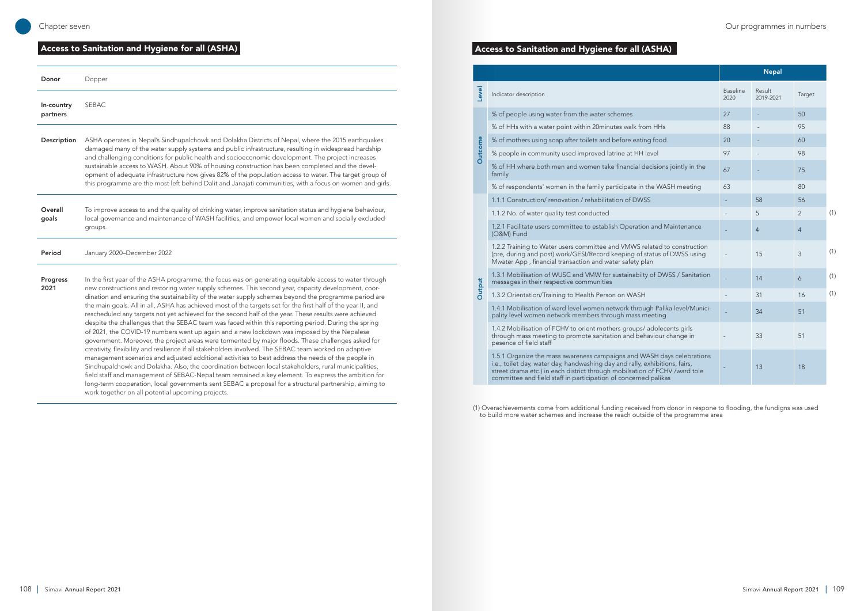# Access to Sanitation and Hygiene for all (ASHA)

| Donor                  | Dopper                                                                                                                                                                                                                                                                                                                                                                                                                                                                                                                                                                                                                                                                                                                                                                                                                                                                                                                                                                                                                                                                                                                                                                                                                                                                                                                                                                                                                                                  |
|------------------------|---------------------------------------------------------------------------------------------------------------------------------------------------------------------------------------------------------------------------------------------------------------------------------------------------------------------------------------------------------------------------------------------------------------------------------------------------------------------------------------------------------------------------------------------------------------------------------------------------------------------------------------------------------------------------------------------------------------------------------------------------------------------------------------------------------------------------------------------------------------------------------------------------------------------------------------------------------------------------------------------------------------------------------------------------------------------------------------------------------------------------------------------------------------------------------------------------------------------------------------------------------------------------------------------------------------------------------------------------------------------------------------------------------------------------------------------------------|
| In-country<br>partners | <b>SEBAC</b>                                                                                                                                                                                                                                                                                                                                                                                                                                                                                                                                                                                                                                                                                                                                                                                                                                                                                                                                                                                                                                                                                                                                                                                                                                                                                                                                                                                                                                            |
| Description            | ASHA operates in Nepal's Sindhupalchowk and Dolakha Districts of Nepal, where the 2015 earthquakes<br>damaged many of the water supply systems and public infrastructure, resulting in widespread hardship<br>and challenging conditions for public health and socioeconomic development. The project increases<br>sustainable access to WASH. About 90% of housing construction has been completed and the devel-<br>opment of adequate infrastructure now gives 82% of the population access to water. The target group of<br>this programme are the most left behind Dalit and Janajati communities, with a focus on women and girls.                                                                                                                                                                                                                                                                                                                                                                                                                                                                                                                                                                                                                                                                                                                                                                                                                |
| Overall<br>goals       | To improve access to and the quality of drinking water, improve sanitation status and hygiene behaviour,<br>local governance and maintenance of WASH facilities, and empower local women and socially excluded<br>groups.                                                                                                                                                                                                                                                                                                                                                                                                                                                                                                                                                                                                                                                                                                                                                                                                                                                                                                                                                                                                                                                                                                                                                                                                                               |
| Period                 | January 2020-December 2022                                                                                                                                                                                                                                                                                                                                                                                                                                                                                                                                                                                                                                                                                                                                                                                                                                                                                                                                                                                                                                                                                                                                                                                                                                                                                                                                                                                                                              |
| Progress<br>2021       | In the first year of the ASHA programme, the focus was on generating equitable access to water through<br>new constructions and restoring water supply schemes. This second year, capacity development, coor-<br>dination and ensuring the sustainability of the water supply schemes beyond the programme period are<br>the main goals. All in all, ASHA has achieved most of the targets set for the first half of the year II, and<br>rescheduled any targets not yet achieved for the second half of the year. These results were achieved<br>despite the challenges that the SEBAC team was faced within this reporting period. During the spring<br>of 2021, the COVID-19 numbers went up again and a new lockdown was imposed by the Nepalese<br>government. Moreover, the project areas were tormented by major floods. These challenges asked for<br>creativity, flexibility and resilience if all stakeholders involved. The SEBAC team worked on adaptive<br>management scenarios and adjusted additional activities to best address the needs of the people in<br>Sindhupalchowk and Dolakha. Also, the coordination between local stakeholders, rural municipalities,<br>field staff and management of SEBAC-Nepal team remained a key element. To express the ambition for<br>long-term cooperation, local governments sent SEBAC a proposal for a structural partnership, aiming to<br>work together on all potential upcoming projects. |

# Access to Sanitation and Hygiene for all (ASHA)

Level

**Outcome** 

Outcome

**Output** 

|                                                                                                                                                                                                                                                                                                        |                         | <u>ivepai</u>       |                |
|--------------------------------------------------------------------------------------------------------------------------------------------------------------------------------------------------------------------------------------------------------------------------------------------------------|-------------------------|---------------------|----------------|
| Indicator description                                                                                                                                                                                                                                                                                  | <b>Baseline</b><br>2020 | Result<br>2019-2021 | Ta             |
| % of people using water from the water schemes                                                                                                                                                                                                                                                         | 27                      |                     | 50             |
| % of HHs with a water point within 20minutes walk from HHs                                                                                                                                                                                                                                             | 88                      |                     | 95             |
| % of mothers using soap after toilets and before eating food                                                                                                                                                                                                                                           | 20                      |                     | 60             |
| % people in community used improved latrine at HH level                                                                                                                                                                                                                                                | 97                      |                     | 98             |
| % of HH where both men and women take financial decisions jointly in the<br>family                                                                                                                                                                                                                     | 67                      |                     | 75             |
| % of respondents' women in the family participate in the WASH meeting                                                                                                                                                                                                                                  | 63                      |                     | 80             |
| 1.1.1 Construction/renovation / rehabilitation of DWSS                                                                                                                                                                                                                                                 |                         | 58                  | 56             |
| 1.1.2 No. of water quality test conducted                                                                                                                                                                                                                                                              |                         | 5                   | 2              |
| 1.2.1 Facilitate users committee to establish Operation and Maintenance<br>(O&M) Fund                                                                                                                                                                                                                  |                         | $\overline{4}$      | $\overline{4}$ |
| 1.2.2 Training to Water users committee and VMWS related to construction<br>(pre, during and post) work/GESI/Record keeping of status of DWSS using<br>Mwater App, financial transaction and water safety plan                                                                                         |                         | 15                  | 3              |
| 1.3.1 Mobilisation of WUSC and VMW for sustainabilty of DWSS / Sanitation<br>messages in their respective communities                                                                                                                                                                                  |                         | 14                  | 6              |
| 1.3.2 Orientation/Training to Health Person on WASH                                                                                                                                                                                                                                                    |                         | 31                  | 16             |
| 1.4.1 Mobilisation of ward level women network through Palika level/Munici-<br>pality level women network members through mass meeting                                                                                                                                                                 |                         | 34                  | 51             |
| 1.4.2 Mobilisation of FCHV to orient mothers groups/ adolecents girls<br>through mass meeting to promote sanitation and behaviour change in<br>pesence of field staff                                                                                                                                  |                         | 33                  | 51             |
| 1.5.1 Organize the mass awareness campaigns and WASH days celebrations<br>i.e., toilet day, water day, handwashing day and rally, exhibitions, fairs,<br>street drama etc.) in each district through mobilsation of FCHV /ward tole<br>committee and field staff in participation of concerned palikas |                         | 13                  | 18             |

|                                                                             | <b>Nepal</b>            |                     |                |     |
|-----------------------------------------------------------------------------|-------------------------|---------------------|----------------|-----|
|                                                                             | <b>Baseline</b><br>2020 | Result<br>2019-2021 | Target         |     |
|                                                                             | 27                      |                     | 50             |     |
| <b>HHs</b>                                                                  | 88                      |                     | 95             |     |
| food                                                                        | 20                      |                     | 60             |     |
| e                                                                           | 97                      |                     | 98             |     |
| isions jointly in the                                                       | 67                      |                     | 75             |     |
| WASH meeting                                                                | 63                      |                     | 80             |     |
|                                                                             |                         | 58                  | 56             |     |
|                                                                             |                         | 5                   | $\overline{2}$ | (1) |
| and Maintenance                                                             |                         | $\overline{4}$      | $\overline{4}$ |     |
| ted to construction<br>tus of DWSS using                                    |                         | 15                  | 3              | (1) |
| f DWSS / Sanitation                                                         |                         | 14                  | 6              | (1) |
|                                                                             |                         | 31                  | 16             | (1) |
| Palika level/Munici-<br>eting                                               |                         | 34                  | 51             |     |
| lolecents girls<br>iour change in                                           |                         | 33                  | 51             |     |
| H days celebrations<br>ibitions, fairs,<br>FCHV /ward tole<br><b>alikas</b> |                         | 13                  | 18             |     |

(1) Overachievements come from additional funding received from donor in respone to flooding, the fundigns was used to build more water schemes and increase the reach outside of the programme area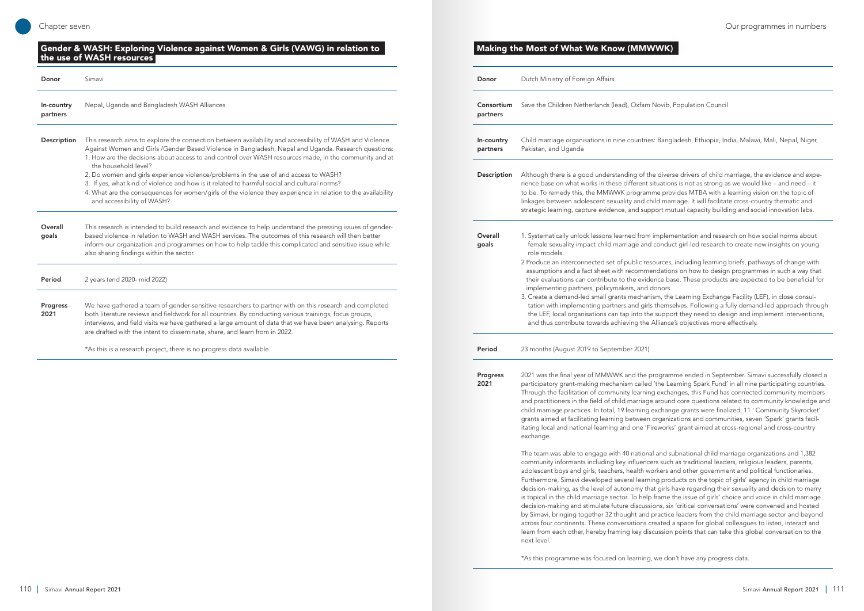| Donor                  | Simavi                                                                                                                                                                                                                                                                                                                                                                                                                                                                                                                                                                                                                                                                                  |
|------------------------|-----------------------------------------------------------------------------------------------------------------------------------------------------------------------------------------------------------------------------------------------------------------------------------------------------------------------------------------------------------------------------------------------------------------------------------------------------------------------------------------------------------------------------------------------------------------------------------------------------------------------------------------------------------------------------------------|
| In-country<br>partners | Nepal, Uganda and Bangladesh WASH Alliances                                                                                                                                                                                                                                                                                                                                                                                                                                                                                                                                                                                                                                             |
| Description            | This research aims to explore the connection between availability and accessibility of WASH and Violence<br>Against Women and Girls /Gender Based Violence in Bangladesh, Nepal and Uganda. Research questions:<br>1. How are the decisions about access to and control over WASH resources made, in the community and at<br>the household level?<br>2. Do women and girls experience violence/problems in the use of and access to WASH?<br>3. If yes, what kind of violence and how is it related to harmful social and cultural norms?<br>4. What are the consequences for women/girls of the violence they experience in relation to the availability<br>and accessibility of WASH? |
| Overall<br>goals       | This research is intended to build research and evidence to help understand the pressing issues of gender-<br>based violence in relation to WASH and WASH services. The outcomes of this research will then better<br>inform our organization and programmes on how to help tackle this complicated and sensitive issue while<br>also sharing findings within the sector.                                                                                                                                                                                                                                                                                                               |
| Period                 | 2 years (end 2020- mid 2022)                                                                                                                                                                                                                                                                                                                                                                                                                                                                                                                                                                                                                                                            |
| Progress<br>2021       | We have gathered a team of gender-sensitive researchers to partner with on this research and completed<br>both literature reviews and fieldwork for all countries. By conducting various trainings, focus groups,<br>interviews, and field visits we have gathered a large amount of data that we have been analysing. Reports<br>are drafted with the intent to disseminate, share, and learn from in 2022.                                                                                                                                                                                                                                                                            |
|                        | *As this is a research project, there is no progress data available.                                                                                                                                                                                                                                                                                                                                                                                                                                                                                                                                                                                                                    |

# **Donor** Dutch Ministry of Foreign Affairs Consortium partners Save the Children Netherlands (lead), Oxfam Novib, Population Council In-country partners Pakistan, and Uganda Description Although there is a good understanding of the diverse drivers of child marriage, the evidence and expe-**Overall** goals role models. implementing partners, policymakers, and donors. and thus contribute towards achieving the Alliance's objectives more effectively. Period 23 months (August 2019 to September 2021) Progress 2021

Child marriage organisations in nine countries: Bangladesh, Ethiopia, India, Malawi, Mali, Nepal, Niger,

rience base on what works in these different situations is not as strong as we would like – and need – it to be. To remedy this, the MMWWK programme provides MTBA with a learning vision on the topic of linkages between adolescent sexuality and child marriage. It will facilitate cross-country thematic and strategic learning, capture evidence, and support mutual capacity building and social innovation labs.

1. Systematically unlock lessons learned from implementation and research on how social norms about female sexuality impact child marriage and conduct girl-led research to create new insights on young

2 Produce an interconnected set of public resources, including learning briefs, pathways of change with assumptions and a fact sheet with recommendations on how to design programmes in such a way that their evaluations can contribute to the evidence base. These products are expected to be beneficial for

3. Create a demand-led small grants mechanism, the Learning Exchange Facility (LEF), in close consultation with implementing partners and girls themselves. Following a fully demand-led approach through the LEF, local organisations can tap into the support they need to design and implement interventions,

2021 was the final year of MMWWK and the programme ended in September. Simavi successfully closed a participatory grant-making mechanism called 'the Learning Spark Fund' in all nine participating countries. Through the facilitation of community learning exchanges, this Fund has connected community members and practitioners in the field of child marriage around core questions related to community knowledge and child marriage practices. In total, 19 learning exchange grants were finalized; 11 ' Community Skyrocket' grants aimed at facilitating learning between organizations and communities, seven 'Spark' grants facilitating local and national learning and one 'Fireworks' grant aimed at cross-regional and cross-country

exchange.

The team was able to engage with 40 national and subnational child marriage organizations and 1,382 community informants including key influencers such as traditional leaders, religious leaders, parents, adolescent boys and girls, teachers, health workers and other government and political functionaries. Furthermore, Simavi developed several learning products on the topic of girls' agency in child marriage decision-making, as the level of autonomy that girls have regarding their sexuality and decision to marry is topical in the child marriage sector. To help frame the issue of girls' choice and voice in child marriage decision-making and stimulate future discussions, six 'critical conversations' were convened and hosted by Simavi, bringing together 32 thought and practice leaders from the child marriage sector and beyond across four continents. These conversations created a space for global colleagues to listen, interact and learn from each other, hereby framing key discussion points that can take this global conversation to the next level.

\*As this programme was focused on learning, we don't have any progress data.

#### Gender & WASH: Exploring Violence against Women & Girls (VAWG) in relation to the use of WASH resources

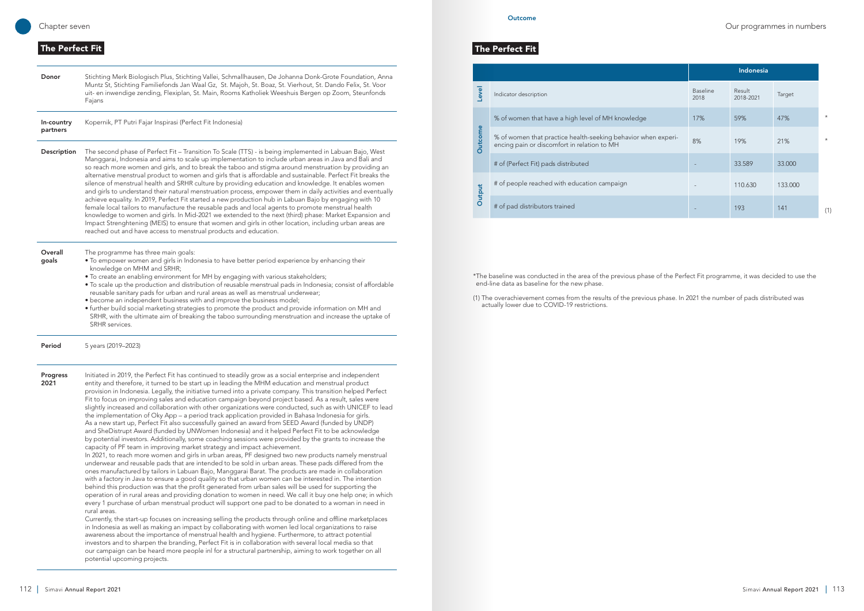**Outcome** 

#### Chapter seven Our programmes in numbers

#### The Perfect Fit

Donor Stichting Merk Biologisch Plus, Stichting Vallei, Schmallhausen, De Johanna Donk-Grote Foundation, Anna Muntz St, Stichting Familiefonds Jan Waal Gz, St. Majoh, St. Boaz, St. Vierhout, St. Dando Felix, St. Voor uit- en inwendige zending, Flexiplan, St. Main, Rooms Katholiek Weeshuis Bergen op Zoom, Steunfonds Fajans

In-country partners Kopernik, PT Putri Fajar Inspirasi (Perfect Fit Indonesia)

- Description The second phase of Perfect Fit Transition To Scale (TTS) is being implemented in Labuan Bajo, West Manggarai, Indonesia and aims to scale up implementation to include urban areas in Java and Bali and so reach more women and girls, and to break the taboo and stigma around menstruation by providing an alternative menstrual product to women and girls that is affordable and sustainable. Perfect Fit breaks the silence of menstrual health and SRHR culture by providing education and knowledge. It enables women and girls to understand their natural menstruation process, empower them in daily activities and eventually achieve equality. In 2019, Perfect Fit started a new production hub in Labuan Bajo by engaging with 10 female local tailors to manufacture the reusable pads and local agents to promote menstrual health knowledge to women and girls. In Mid-2021 we extended to the next (third) phase: Market Expansion and Impact Strenghtening (MEIS) to ensure that women and girls in other location, including urban areas are reached out and have access to menstrual products and education.
- **Overall** The programme has three main goals:
	- To empower women and girls in Indonesia to have better period experience by enhancing their knowledge on MHM and SRHR;
		- To create an enabling environment for MH by engaging with various stakeholders;
		- To scale up the production and distribution of reusable menstrual pads in Indonesia; consist of affordable reusable sanitary pads for urban and rural areas as well as menstrual underwear;
		- become an independent business with and improve the business model;
		- further build social marketing strategies to promote the product and provide information on MH and SRHR, with the ultimate aim of breaking the taboo surrounding menstruation and increase the uptake of SRHR services.

#### **Period** 5 years (2019–2023)

goals

2021

Progress Initiated in 2019, the Perfect Fit has continued to steadily grow as a social enterprise and independent entity and therefore, it turned to be start up in leading the MHM education and menstrual product provision in Indonesia. Legally, the initiative turned into a private company. This transition helped Perfect Fit to focus on improving sales and education campaign beyond project based. As a result, sales were slightly increased and collaboration with other organizations were conducted, such as with UNICEF to lead the implementation of Oky App – a period track application provided in Bahasa Indonesia for girls. As a new start up, Perfect Fit also successfully gained an award from SEED Award (funded by UNDP) and SheDistrupt Award (funded by UNWomen Indonesia) and it helped Perfect Fit to be acknowledge by potential investors. Additionally, some coaching sessions were provided by the grants to increase the capacity of PF team in improving market strategy and impact achievement.

In 2021, to reach more women and girls in urban areas, PF designed two new products namely menstrual underwear and reusable pads that are intended to be sold in urban areas. These pads differed from the ones manufactured by tailors in Labuan Bajo, Manggarai Barat. The products are made in collaboration with a factory in Java to ensure a good quality so that urban women can be interested in. The intention behind this production was that the profit generated from urban sales will be used for supporting the operation of in rural areas and providing donation to women in need. We call it buy one help one; in which every 1 purchase of urban menstrual product will support one pad to be donated to a woman in need in rural areas.

Currently, the start-up focuses on increasing selling the products through online and offline marketplaces in Indonesia as well as making an impact by collaborating with women led local organizations to raise awareness about the importance of menstrual health and hygiene. Furthermore, to attract potential investors and to sharpen the branding, Perfect Fit is in collaboration with several local media so that our campaign can be heard more people inl for a structural partnership, aiming to work together on all potential upcoming projects.

### The Perfect Fit

|                |                                                                                                              |                         | <b>Indonesia</b>    |         |
|----------------|--------------------------------------------------------------------------------------------------------------|-------------------------|---------------------|---------|
| <b>Jevel</b>   | Indicator description                                                                                        | <b>Baseline</b><br>2018 | Result<br>2018-2021 | Target  |
|                | % of women that have a high level of MH knowledge                                                            | 17%                     | 59%                 | 47%     |
| <b>Outcome</b> | % of women that practice health-seeking behavior when experi-<br>encing pain or discomfort in relation to MH | 8%                      | 19%                 | 21%     |
|                | # of (Perfect Fit) pads distributed                                                                          |                         | 33.589              | 33,000  |
| Output         | # of people reached with education campaign                                                                  |                         | 110.630             | 133.000 |
|                | # of pad distributors trained                                                                                |                         | 193                 | 141     |

|           | <b>Indonesia</b>        |                     |         |         |  |  |  |
|-----------|-------------------------|---------------------|---------|---------|--|--|--|
|           | <b>Baseline</b><br>2018 | Result<br>2018-2021 | Target  |         |  |  |  |
|           | 17%                     | 59%                 | 47%     | $\star$ |  |  |  |
| n experi- | 8%                      | 19%                 | 21%     | $\star$ |  |  |  |
|           |                         | 33.589              | 33.000  |         |  |  |  |
|           |                         | 110.630             | 133.000 |         |  |  |  |
|           |                         | 193                 | 141     | (1)     |  |  |  |

\*The baseline was conducted in the area of the previous phase of the Perfect Fit programme, it was decided to use the end-line data as baseline for the new phase.

(1) The overachievement comes from the results of the previous phase. In 2021 the number of pads distributed was actually lower due to COVID-19 restrictions.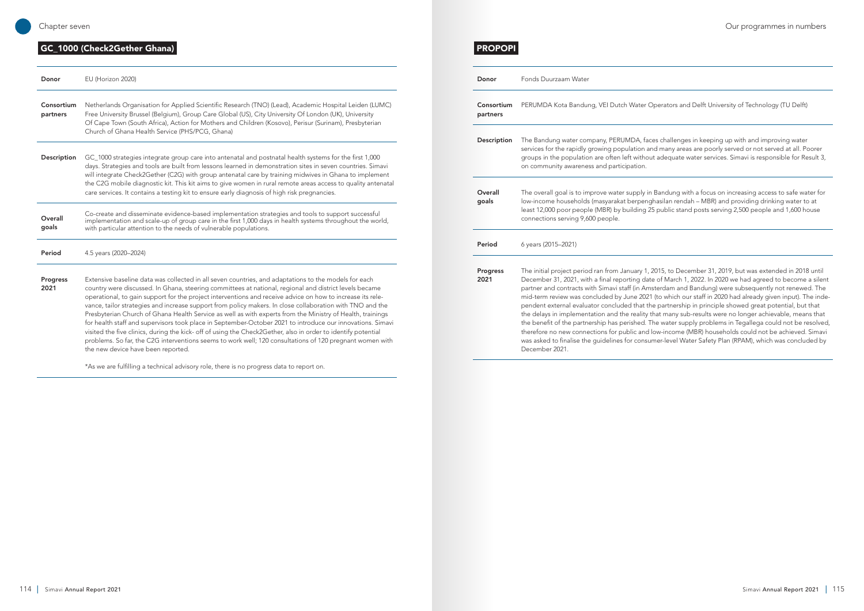### **GC\_1000 (Check2Gether Ghana)** PROPOPI

perators and Delft University of Technology (TU Delft)

es challenges in keeping up with and improving water id many areas are poorly served or not served at all. Poorer adequate water services. Simavi is responsible for Result 3,

Bandung with a focus on increasing access to safe water for hasilan rendah – MBR) and providing drinking water to at  $\overline{b}$  public stand posts serving 2,500 people and 1,600 house

2015, to December 31, 2019, but was extended in 2018 until e of March 1, 2022. In 2020 we had agreed to become a silent sterdam and Bandung) were subsequently not renewed. The (to which our staff in 2020 had already given input). The indee partnership in principle showed great potential, but that hat many sub-results were no longer achievable, means that he water supply problems in Tegallega could not be resolved, ow-income (MBR) households could not be achieved. Simavi mer-level Water Safety Plan (RPAM), which was concluded by

| Donor                  | EU (Horizon 2020)                                                                                                                                                                                                                                                                                                                                                                                                                                                                                                                                                                                                                                                                                                                                                                                                                                                                                                                        |
|------------------------|------------------------------------------------------------------------------------------------------------------------------------------------------------------------------------------------------------------------------------------------------------------------------------------------------------------------------------------------------------------------------------------------------------------------------------------------------------------------------------------------------------------------------------------------------------------------------------------------------------------------------------------------------------------------------------------------------------------------------------------------------------------------------------------------------------------------------------------------------------------------------------------------------------------------------------------|
| Consortium<br>partners | Netherlands Organisation for Applied Scientific Research (TNO) (Lead), Academic Hospital Leiden (LUMC)<br>Free University Brussel (Belgium), Group Care Global (US), City University Of London (UK), University<br>Of Cape Town (South Africa), Action for Mothers and Children (Kosovo), Perisur (Surinam), Presbyterian<br>Church of Ghana Health Service (PHS/PCG, Ghana)                                                                                                                                                                                                                                                                                                                                                                                                                                                                                                                                                             |
| Description            | GC_1000 strategies integrate group care into antenatal and postnatal health systems for the first 1,000<br>days. Strategies and tools are built from lessons learned in demonstration sites in seven countries. Simavi<br>will integrate Check2Gether (C2G) with group antenatal care by training midwives in Ghana to implement<br>the C2G mobile diagnostic kit. This kit aims to give women in rural remote areas access to quality antenatal<br>care services. It contains a testing kit to ensure early diagnosis of high risk pregnancies.                                                                                                                                                                                                                                                                                                                                                                                         |
| Overall<br>goals       | Co-create and disseminate evidence-based implementation strategies and tools to support successful<br>implementation and scale-up of group care in the first 1,000 days in health systems throughout the world,<br>with particular attention to the needs of vulnerable populations.                                                                                                                                                                                                                                                                                                                                                                                                                                                                                                                                                                                                                                                     |
| Period                 | 4.5 years (2020-2024)                                                                                                                                                                                                                                                                                                                                                                                                                                                                                                                                                                                                                                                                                                                                                                                                                                                                                                                    |
| Progress<br>2021       | Extensive baseline data was collected in all seven countries, and adaptations to the models for each<br>country were discussed. In Ghana, steering committees at national, regional and district levels became<br>operational, to gain support for the project interventions and receive advice on how to increase its rele-<br>vance, tailor strategies and increase support from policy makers. In close collaboration with TNO and the<br>Presbyterian Church of Ghana Health Service as well as with experts from the Ministry of Health, trainings<br>for health staff and supervisors took place in September-October 2021 to introduce our innovations. Simavi<br>visited the five clinics, during the kick- off of using the Check2Gether, also in order to identify potential<br>problems. So far, the C2G interventions seems to work well; 120 consultations of 120 pregnant women with<br>the new device have been reported. |

\*As we are fulfilling a technical advisory role, there is no progress data to report on.

| Donor                  | Fonds Duurzaam Water                                                                                                                                                                                                                                                                                                                                                                                                                                                              |
|------------------------|-----------------------------------------------------------------------------------------------------------------------------------------------------------------------------------------------------------------------------------------------------------------------------------------------------------------------------------------------------------------------------------------------------------------------------------------------------------------------------------|
| Consortium<br>partners | PERUMDA Kota Bandung, VEI Dutch Water O                                                                                                                                                                                                                                                                                                                                                                                                                                           |
| Description            | The Bandung water company, PERUMDA, face<br>services for the rapidly growing population and<br>groups in the population are often left without<br>on community awareness and participation.                                                                                                                                                                                                                                                                                       |
| Overall<br>goals       | The overall goal is to improve water supply in I<br>low-income households (masyarakat berpengh<br>least 12,000 poor people (MBR) by building 25<br>connections serving 9,600 people.                                                                                                                                                                                                                                                                                              |
| Period                 | 6 years (2015-2021)                                                                                                                                                                                                                                                                                                                                                                                                                                                               |
| Progress<br>2021       | The initial project period ran from January 1, 2<br>December 31, 2021, with a final reporting date<br>partner and contracts with Simavi staff (in Ams<br>mid-term review was concluded by June 2021<br>pendent external evaluator concluded that the<br>the delays in implementation and the reality th<br>the benefit of the partnership has perished. Th<br>therefore no new connections for public and Io<br>was asked to finalise the guidelines for consun<br>December 2021. |